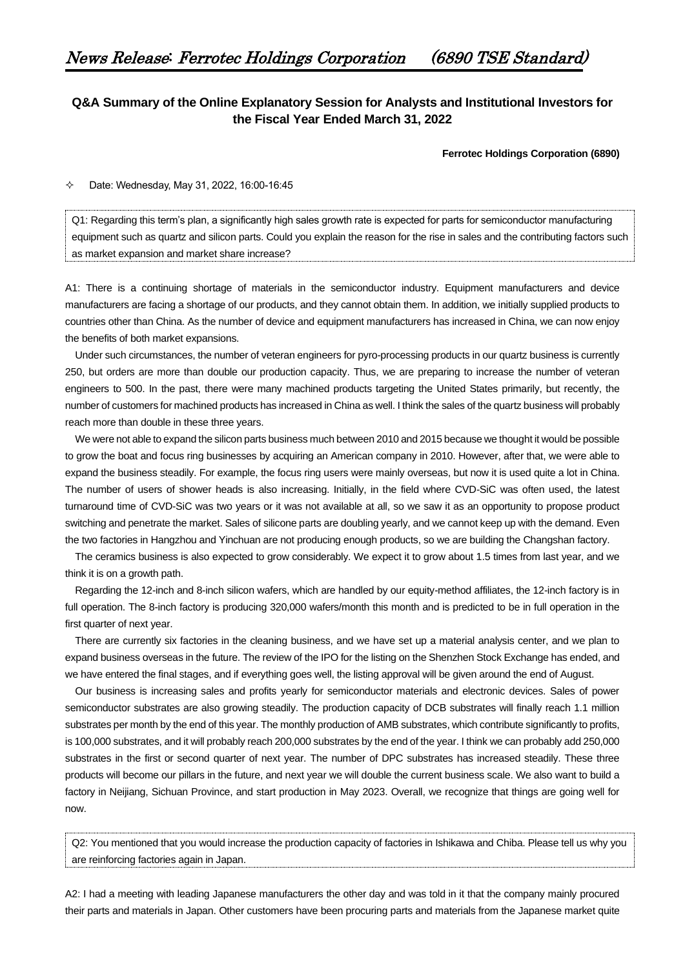## **Q&A Summary of the Online Explanatory Session for Analysts and Institutional Investors for the Fiscal Year Ended March 31, 2022**

**Ferrotec Holdings Corporation (6890)**

 $\div$  Date: Wednesday, May 31, 2022, 16:00-16:45

Q1: Regarding this term's plan, a significantly high sales growth rate is expected for parts for semiconductor manufacturing equipment such as quartz and silicon parts. Could you explain the reason for the rise in sales and the contributing factors such as market expansion and market share increase?

A1: There is a continuing shortage of materials in the semiconductor industry. Equipment manufacturers and device manufacturers are facing a shortage of our products, and they cannot obtain them. In addition, we initially supplied products to countries other than China. As the number of device and equipment manufacturers has increased in China, we can now enjoy the benefits of both market expansions.

Under such circumstances, the number of veteran engineers for pyro-processing products in our quartz business is currently 250, but orders are more than double our production capacity. Thus, we are preparing to increase the number of veteran engineers to 500. In the past, there were many machined products targeting the United States primarily, but recently, the number of customers for machined products has increased in China as well. I think the sales of the quartz business will probably reach more than double in these three years.

We were not able to expand the silicon parts business much between 2010 and 2015 because we thought it would be possible to grow the boat and focus ring businesses by acquiring an American company in 2010. However, after that, we were able to expand the business steadily. For example, the focus ring users were mainly overseas, but now it is used quite a lot in China. The number of users of shower heads is also increasing. Initially, in the field where CVD-SiC was often used, the latest turnaround time of CVD-SiC was two years or it was not available at all, so we saw it as an opportunity to propose product switching and penetrate the market. Sales of silicone parts are doubling yearly, and we cannot keep up with the demand. Even the two factories in Hangzhou and Yinchuan are not producing enough products, so we are building the Changshan factory.

The ceramics business is also expected to grow considerably. We expect it to grow about 1.5 times from last year, and we think it is on a growth path.

Regarding the 12-inch and 8-inch silicon wafers, which are handled by our equity-method affiliates, the 12-inch factory is in full operation. The 8-inch factory is producing 320,000 wafers/month this month and is predicted to be in full operation in the first quarter of next year.

There are currently six factories in the cleaning business, and we have set up a material analysis center, and we plan to expand business overseas in the future. The review of the IPO for the listing on the Shenzhen Stock Exchange has ended, and we have entered the final stages, and if everything goes well, the listing approval will be given around the end of August.

Our business is increasing sales and profits yearly for semiconductor materials and electronic devices. Sales of power semiconductor substrates are also growing steadily. The production capacity of DCB substrates will finally reach 1.1 million substrates per month by the end of this year. The monthly production of AMB substrates, which contribute significantly to profits, is 100,000 substrates, and it will probably reach 200,000 substrates by the end of the year. I think we can probably add 250,000 substrates in the first or second quarter of next year. The number of DPC substrates has increased steadily. These three products will become our pillars in the future, and next year we will double the current business scale. We also want to build a factory in Neijiang, Sichuan Province, and start production in May 2023. Overall, we recognize that things are going well for now.

Q2: You mentioned that you would increase the production capacity of factories in Ishikawa and Chiba. Please tell us why you are reinforcing factories again in Japan.

A2: I had a meeting with leading Japanese manufacturers the other day and was told in it that the company mainly procured their parts and materials in Japan. Other customers have been procuring parts and materials from the Japanese market quite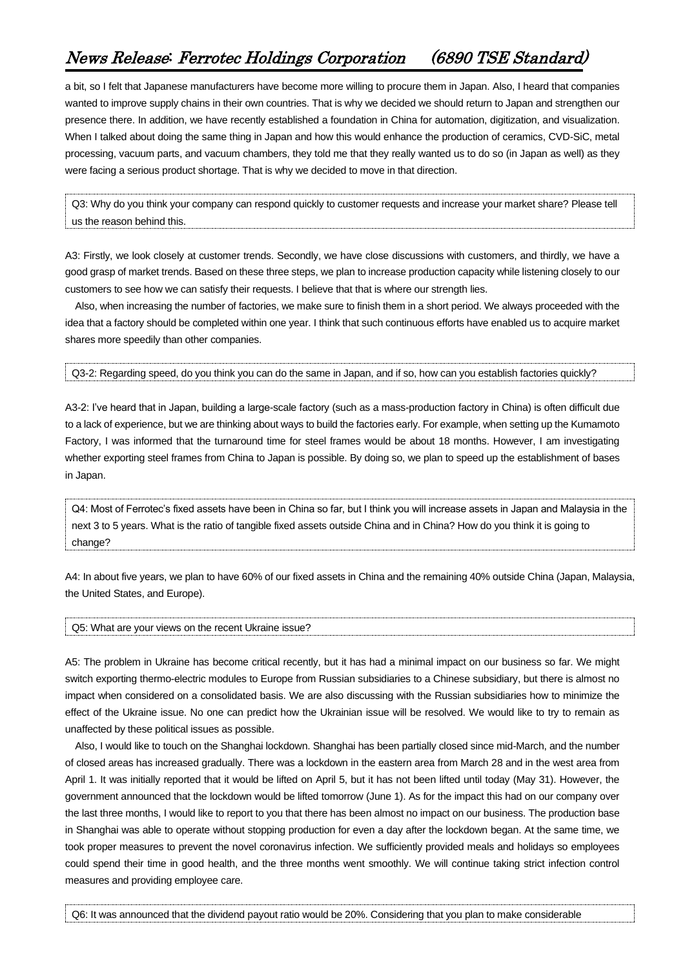## News Release: Ferrotec Holdings Corporation (6890 TSE Standard)

a bit, so I felt that Japanese manufacturers have become more willing to procure them in Japan. Also, I heard that companies wanted to improve supply chains in their own countries. That is why we decided we should return to Japan and strengthen our presence there. In addition, we have recently established a foundation in China for automation, digitization, and visualization. When I talked about doing the same thing in Japan and how this would enhance the production of ceramics, CVD-SiC, metal processing, vacuum parts, and vacuum chambers, they told me that they really wanted us to do so (in Japan as well) as they were facing a serious product shortage. That is why we decided to move in that direction.

Q3: Why do you think your company can respond quickly to customer requests and increase your market share? Please tell us the reason behind this.

A3: Firstly, we look closely at customer trends. Secondly, we have close discussions with customers, and thirdly, we have a good grasp of market trends. Based on these three steps, we plan to increase production capacity while listening closely to our customers to see how we can satisfy their requests. I believe that that is where our strength lies.

Also, when increasing the number of factories, we make sure to finish them in a short period. We always proceeded with the idea that a factory should be completed within one year. I think that such continuous efforts have enabled us to acquire market shares more speedily than other companies.

Q3-2: Regarding speed, do you think you can do the same in Japan, and if so, how can you establish factories quickly?

A3-2: I've heard that in Japan, building a large-scale factory (such as a mass-production factory in China) is often difficult due to a lack of experience, but we are thinking about ways to build the factories early. For example, when setting up the Kumamoto Factory, I was informed that the turnaround time for steel frames would be about 18 months. However, I am investigating whether exporting steel frames from China to Japan is possible. By doing so, we plan to speed up the establishment of bases in Japan.

Q4: Most of Ferrotec's fixed assets have been in China so far, but I think you will increase assets in Japan and Malaysia in the next 3 to 5 years. What is the ratio of tangible fixed assets outside China and in China? How do you think it is going to change?

A4: In about five years, we plan to have 60% of our fixed assets in China and the remaining 40% outside China (Japan, Malaysia, the United States, and Europe).

Q5: What are your views on the recent Ukraine issue?

A5: The problem in Ukraine has become critical recently, but it has had a minimal impact on our business so far. We might switch exporting thermo-electric modules to Europe from Russian subsidiaries to a Chinese subsidiary, but there is almost no impact when considered on a consolidated basis. We are also discussing with the Russian subsidiaries how to minimize the effect of the Ukraine issue. No one can predict how the Ukrainian issue will be resolved. We would like to try to remain as unaffected by these political issues as possible.

Also, I would like to touch on the Shanghai lockdown. Shanghai has been partially closed since mid-March, and the number of closed areas has increased gradually. There was a lockdown in the eastern area from March 28 and in the west area from April 1. It was initially reported that it would be lifted on April 5, but it has not been lifted until today (May 31). However, the government announced that the lockdown would be lifted tomorrow (June 1). As for the impact this had on our company over the last three months, I would like to report to you that there has been almost no impact on our business. The production base in Shanghai was able to operate without stopping production for even a day after the lockdown began. At the same time, we took proper measures to prevent the novel coronavirus infection. We sufficiently provided meals and holidays so employees could spend their time in good health, and the three months went smoothly. We will continue taking strict infection control measures and providing employee care.

Q6: It was announced that the dividend payout ratio would be 20%. Considering that you plan to make considerable